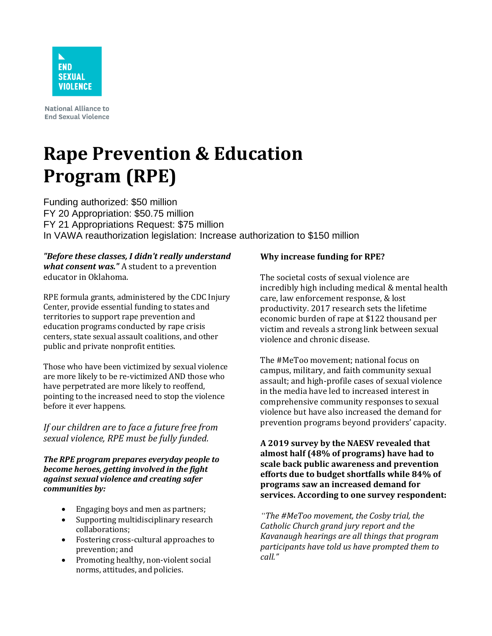

**National Alliance to End Sexual Violence** 

## **Rape Prevention & Education Program (RPE)**

Funding authorized: \$50 million FY 20 Appropriation: \$50.75 million FY 21 Appropriations Request: \$75 million In VAWA reauthorization legislation: Increase authorization to \$150 million

*"Before these classes, I didn't really understand what consent was."* A student to a prevention educator in Oklahoma.

RPE formula grants, administered by the CDC Injury Center, provide essential funding to states and territories to support rape prevention and education programs conducted by rape crisis centers, state sexual assault coalitions, and other public and private nonprofit entities.

Those who have been victimized by sexual violence are more likely to be re-victimized AND those who have perpetrated are more likely to reoffend, pointing to the increased need to stop the violence before it ever happens.

*If our children are to face a future free from sexual violence, RPE must be fully funded.* 

*The RPE program prepares everyday people to become heroes, getting involved in the fight against sexual violence and creating safer communities by:* 

- Engaging boys and men as partners;
- Supporting multidisciplinary research collaborations;
- Fostering cross-cultural approaches to prevention; and
- Promoting healthy, non-violent social norms, attitudes, and policies.

## **Why increase funding for RPE?**

The societal costs of sexual violence are incredibly high including medical & mental health care, law enforcement response, & lost productivity. 2017 research sets the lifetime economic burden of rape at \$122 thousand per victim and reveals a strong link between sexual violence and chronic disease.

The #MeToo movement; national focus on campus, military, and faith community sexual assault; and high-profile cases of sexual violence in the media have led to increased interest in comprehensive community responses to sexual violence but have also increased the demand for prevention programs beyond providers' capacity.

**A 2019 survey by the NAESV revealed that almost half (48% of programs) have had to scale back public awareness and prevention efforts due to budget shortfalls while 84% of programs saw an increased demand for services. According to one survey respondent:** 

*"The #MeToo movement, the Cosby trial, the Catholic Church grand jury report and the Kavanaugh hearings are all things that program participants have told us have prompted them to call."*